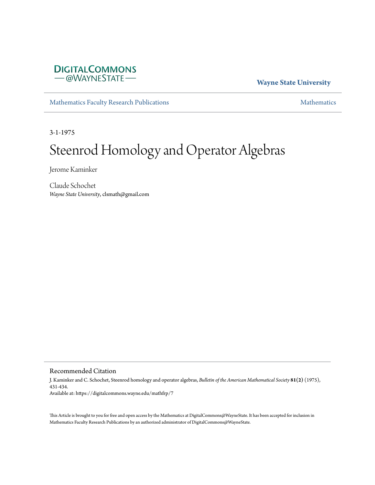

## **Wayne State University**

[Mathematics Faculty Research Publications](https://digitalcommons.wayne.edu/mathfrp) **[Mathematics](https://digitalcommons.wayne.edu/math)** Mathematics

3-1-1975

# Steenrod Homology and Operator Algebras

Jerome Kaminker

Claude Schochet *Wayne State University*, clsmath@gmail.com

### Recommended Citation

J. Kaminker and C. Schochet, Steenrod homology and operator algebras, *Bulletin of the American Mathematical Society* **81(2)** (1975), 431-434. Available at: https://digitalcommons.wayne.edu/mathfrp/7

This Article is brought to you for free and open access by the Mathematics at DigitalCommons@WayneState. It has been accepted for inclusion in Mathematics Faculty Research Publications by an authorized administrator of DigitalCommons@WayneState.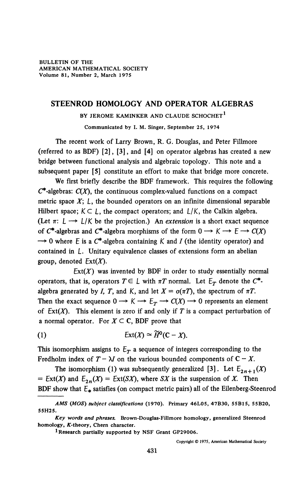## **STEENROD HOMOLOGY AND OPERATOR ALGEBRAS**

**BY JEROME KAMINKER AND CLAUDE SCHOCHET<sup>1</sup>**

**Communicated by I. M. Singer, September 25, 1974** 

The recent work of Larry Brown, R. G. Douglas, and Peter Fillmore (referred to as BDF) [2], [3], and **[4]** on operator algebras has created a new bridge between functional analysis and algebraic topology. This note and a subsequent paper [5] constitute an effort to make that bridge more concrete.

We first briefly describe the BDF framework. This requires the following  $C^*$ -algebras:  $C(X)$ , the continuous complex-valued functions on a compact metric space  $X$ ;  $\mathcal{L}$ , the bounded operators on an infinite dimensional separable Hilbert space;  $K \subset L$ , the compact operators; and  $L/K$ , the Calkin algebra. (Let  $\pi: L \longrightarrow L/K$  be the projection.) An *extension* is a short exact sequence of  $C^*$ -algebras and  $C^*$ -algebra morphisms of the form  $0 \rightarrow K \rightarrow E \rightarrow C(X)$  $\rightarrow$  0 where *E* is a  $C^*$ -algebra containing *K* and *I* (the identity operator) and contained in L. Unitary equivalence classes of extensions form an abelian group, denoted  $Ext(X)$ .

 $Ext(X)$  was invented by BDF in order to study essentially normal operators, that is, operators  $T \in L$  with  $\pi T$  normal. Let  $E_T$  denote the  $C^*$ algebra generated by *I*, *T*, and *K*, and let  $X = \sigma(\pi T)$ , the spectrum of  $\pi T$ . Then the exact sequence  $0 \to K \to E_T \to C(X) \to 0$  represents an element of  $Ext(X)$ . This element is zero if and only if T is a compact perturbation of a normal operator. For  $X \subseteq C$ , BDF prove that

(1)  $\mathbb{E}xt(X) \cong \widetilde{H}^0(\mathbb{C} - X).$ 

This isomorphism assigns to  $E_T$  a sequence of integers corresponding to the Fredholm index of  $T - \lambda I$  on the various bounded components of  $C - X$ .

The isomorphism (1) was subsequently generalized [3]. Let  $E_{2n+1}(X)$  $=$  Ext(X) and  $E_{2n}(X) =$  Ext(SX), where SX is the suspension of X. Then BDF show that  $E_*$  satisfies (on compact metric pairs) all of the Eilenberg-Steenrod

*AMS (MOS) subject classifications* **(1970). Primary 46L05, 47B30, 55B15, 55B20, 55H25.** 

*Key words and phrases.* **Brown-Douglas-Fillmore homology, generalized Steenrod**  homology, K-theory, Chern character.

**<sup>1</sup> Research partially supported by NSF Grant GP29006.** 

Copyright © 1975, American Mathematical Society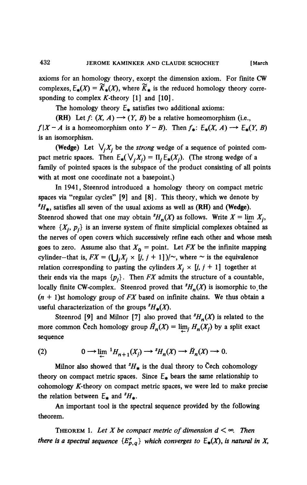**axioms for an homology theory, except the dimension axiom. For finite CW**  complexes,  $E_*(X) = \widetilde{K}_*(X)$ , where  $\widetilde{K}_*$  is the reduced homology theory corresponding to complex K-theory [1] and [10].

The homology theory  $E_{\ast}$  satisfies two additional axioms:

**(RH)** Let  $f: (X, A) \rightarrow (Y, B)$  be a relative homeomorphism (i.e.,  $f|X - A$  is a homeomorphism onto  $Y - B$ ). Then  $f_*$ :  $E_*(X, A) \rightarrow E_*(Y, B)$ **is an isomorphism.** 

(Wedge) Let  $\bigvee_i X_i$  be the *strong* wedge of a sequence of pointed com**pact metric spaces.** Then  $E_*(\bigvee_i X_i) = \Pi_i E_*(X_i)$ . (The strong wedge of a **family of pointed spaces is the subspace of the product consisting of all points with at most one coordinate not a basepoint.)** 

**In 1941, Steenrod introduced a homology theory on compact metric spaces via "regular cycles" [9] and [8]. This theory, which we denote by**  *\*H+,* **satisfies all seven of the usual axioms as well as (RH) and (Wedge).**  Steenrod showed that one may obtain  ${}^s H_n(X)$  as follows. Write  $X = \lim_{n \to \infty} X_i$ , where  $\{X_i, p_i\}$  is an inverse system of finite simplicial complexes obtained as **the nerves of open covers which successively refine each other and whose mesh**  goes to zero. Assume also that  $X_0$  = point. Let *FX* be the infinite mapping cylinder—that is,  $FX = (\bigcup_i X_i \times [i, j + 1])/\sim$ , where  $\sim$  is the equivalence **relation corresponding to pasting the cylinders**  $X_i \times [j, j + 1]$  together at their ends via the maps  $\{p_i\}$ . Then *FX* admits the structure of a countable, locally finite CW-complex. Steenrod proved that  ${}^sH_n(X)$  is isomorphic to the *(n* **+ l)st homology group of** *FX* **based on infinite chains. We thus obtain a**  useful characterization of the groups  ${}^sH_*(X)$ .

**Steenrod** [9] and Milnor [7] also proved that  ${}^s H_n(X)$  is related to the more common Čech homology group  $\check{H}_n(X) = \lim_i H_n(X_i)$  by a split exact **sequence** 

$$
(2) \t\t 0 \longrightarrow \lim_{n \to \infty} {}^{1}H_{n+1}(X_j) \longrightarrow {}^{s}H_{n}(X) \longrightarrow H_{n}(X) \longrightarrow 0.
$$

**Milnor also showed that**  ${}^s H_*$  **is the dual theory to Cech cohomology** theory on compact metric spaces. Since  $E_*$  bears the same relationship to cohomology K-theory on compact metric spaces, we were led to make precise the relation between  $E_*$  and  $^sH_*$ .

**An important tool is the spectral sequence provided by the following theorem.** 

**THEOREM** 1. Let X be compact metric of dimension  $d < \infty$ . Then *there is a spectral sequence*  ${E_{p,q}^r}$  *which converges to*  $E_*(X)$ *, is natural in X,*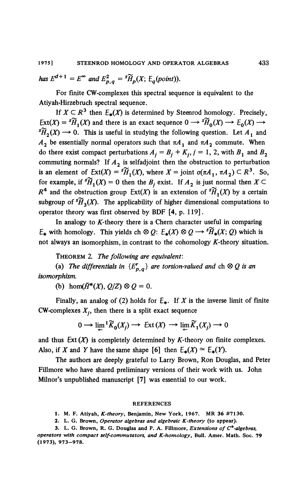*has*  $E^{d+1} = E^{\infty}$  and  $E_{p,q}^2 = {^s\widetilde{H}_p(X; E_q(point))}.$ 

**For finite CW-complexes this spectral sequence is equivalent to the Atiyah-Hirzebruch spectral sequence.** 

If  $X \subset R^3$  then  $E_*(X)$  is determined by Steenrod homology. Precisely, Ext(X) =  ${}^s\widetilde{H}_1(X)$  and there is an exact sequence  $0 \longrightarrow {}^s\widetilde{H}_0(X) \longrightarrow E_0(X) \longrightarrow$  ${}^{s}\widetilde{H}_{2}(X) \longrightarrow 0$ . This is useful in studying the following question. Let  $A_{1}$  and  $A_2$  be essentially normal operators such that  $\pi A_1$  and  $\pi A_2$  commute. When do there exist compact perturbations  $A_i = B_i + K_i$ ,  $j = 1, 2$ , with  $B_i$  and  $B_2$ **commuting normals? If** *A2* **is selfadjoint then the obstruction to perturbation is an element of**  $Ext(X) = {^s\widetilde{H}_1(X)}$ , where  $X =$  joint  $\sigma(\pi A_1, \pi A_2) \subset R^3$ . So, for example, if  ${}^s\widetilde{H}_1(X) = 0$  then the  $B_i$  exist. If  $A_2$  is just normal then  $X \subset$  $R^4$  and the obstruction group  $Ext(X)$  is an extension of  ${}^s\widetilde{H}_1(X)$  by a certain subgroup of  ${}^s\widetilde{H}_3(X)$ . The applicability of higher dimensional computations to **operator theory was first observed by BDF [4, p. 119].** 

In analogy to *K*-theory there is a Chern character useful in comparing  $E_*$  with homology. This yields ch  $\otimes Q$ :  $E_*(X) \otimes Q \rightarrow {}^s \widetilde{H}_*(X;Q)$  which is not always an isomorphism, in contrast to the cohomology *K*-theory situation.

**THEOREM 2.** *The following are equivalent:* 

(a) The differentials in  ${E^r_{p,q}}$  are torsion-valued and ch  $\otimes$  Q is an *isomorphism,* 

**(b)** hom( $\check{H}^*(X)$ ,  $Q/Z$ )  $\otimes Q = 0$ .

**Finally, an analog of (2) holds for**  $E_{*}$ **. If** *X* **is the inverse limit of finite**  $CW$ -complexes  $X_i$ , then there is a split exact sequence

$$
0 \longrightarrow \lim_{\leftarrow} {}^1 \widetilde{K}_0(X_j) \longrightarrow \operatorname{Ext}(X) \longrightarrow \lim_{\leftarrow} \widetilde{K}_1(X_j) \longrightarrow 0
$$

and thus  $Ext(X)$  is completely determined by K-theory on finite complexes. Also, if *X* and *Y* have the same shape [6] then  $E_{*}(X) \simeq E_{*}(Y)$ .

**The authors are deeply grateful to Larry Brown, Ron Douglas, and Peter Fillmore who have shared preliminary versions of their work with us. John Milnor's unpublished manuscript [7] was essential to our work.** 

#### **REFERENCES**

**1. M. F. Atiyah,** *K-theory,* **Benjamin, New York, 1967. MR 36 #7130.** 

**2. L. G. Brown,** *Operator algebras and algebraic K-theory* **(to appear).** 

**3. L. G. Brown, R. G. Douglas and P. A. Fillmore,** *Extensions of C\*-algebras, operators with compact self-commutators, and K-homology,* **Bull. Amer. Math. Soc. 79 (1973), 973-978.**